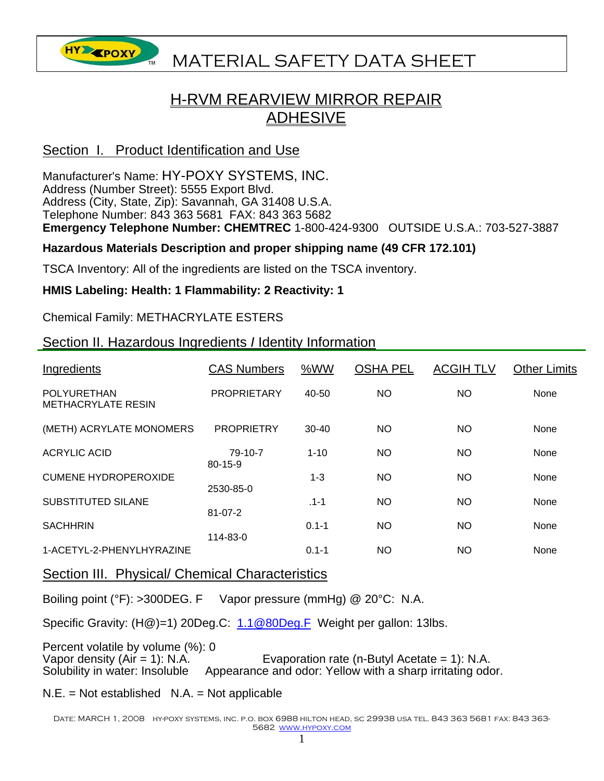

# **HYA EPOXY** MATERIAL SAFETY DATA SHEET

## H-RVM REARVIEW MIRROR REPAIR ADHESIVE

## Section I. Product Identification and Use

Manufacturer's Name: HY-POXY SYSTEMS, INC. Address (Number Street): 5555 Export Blvd. Address (City, State, Zip): Savannah, GA 31408 U.S.A. Telephone Number: 843 363 5681 FAX: 843 363 5682 **Emergency Telephone Number: CHEMTREC** 1-800-424-9300 OUTSIDE U.S.A.: 703-527-3887

## **Hazardous Materials Description and proper shipping name (49 CFR 172.101)**

TSCA Inventory: All of the ingredients are listed on the TSCA inventory.

#### **HMIS Labeling: Health: 1 Flammability: 2 Reactivity: 1**

Chemical Family: METHACRYLATE ESTERS

## Section II. Hazardous Ingredients *I* Identity Information

| Ingredients                                     | <b>CAS Numbers</b>       | %WW       | <b>OSHA PEL</b> | <b>ACGIH TLV</b> | <b>Other Limits</b> |
|-------------------------------------------------|--------------------------|-----------|-----------------|------------------|---------------------|
| <b>POLYURETHAN</b><br><b>METHACRYLATE RESIN</b> | <b>PROPRIETARY</b>       | 40-50     | <b>NO</b>       | NO.              | None                |
| (METH) ACRYLATE MONOMERS                        | <b>PROPRIETRY</b>        | $30 - 40$ | <b>NO</b>       | NO.              | None                |
| <b>ACRYLIC ACID</b>                             | 79-10-7<br>$80 - 15 - 9$ | $1 - 10$  | NO.             | NO.              | None                |
| <b>CUMENE HYDROPEROXIDE</b>                     | 2530-85-0                | $1 - 3$   | <b>NO</b>       | NO.              | None                |
| SUBSTITUTED SILANE                              | $81 - 07 - 2$            | $.1 - 1$  | <b>NO</b>       | NO.              | None                |
| <b>SACHHRIN</b>                                 | 114-83-0                 | $0.1 - 1$ | <b>NO</b>       | NO.              | None                |
| 1-ACETYL-2-PHENYLHYRAZINE                       |                          | $0.1 - 1$ | NO.             | NO.              | None                |

#### Section III. Physical/ Chemical Characteristics

Boiling point (°F): >300DEG. F Vapor pressure (mmHg) @ 20°C: N.A.

Specific Gravity: (H@)=1) 20Deg.C: 1.1@80Deg.F Weight per gallon: 13lbs.

Percent volatile by volume (%): 0 Vapor density  $(Air = 1)$ : N.A. Evaporation rate  $(n-Buty)$  Acetate = 1): N.A. Solubility in water: Insoluble Appearance and odor: Yellow with a sharp irritating odor.

#### $N.E. = Not established N.A. = Not applicable$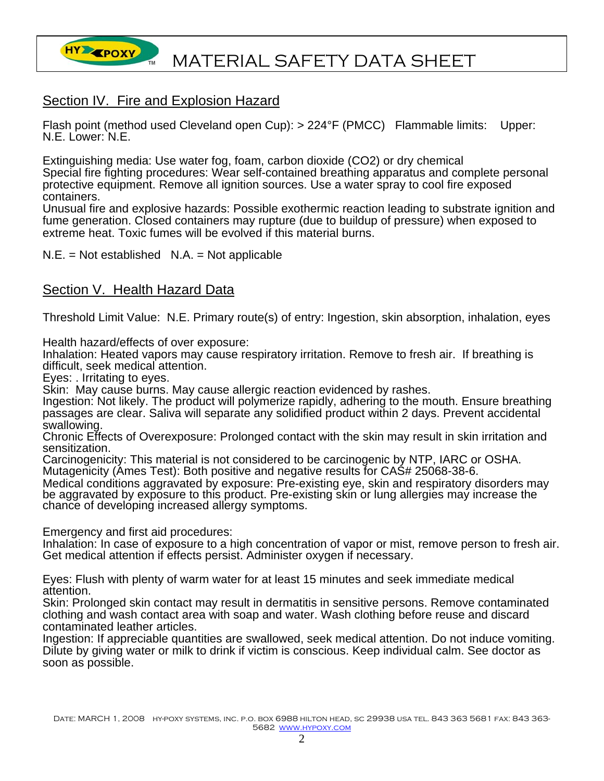

## Section IV. Fire and Explosion Hazard

Flash point (method used Cleveland open Cup): > 224°F (PMCC) Flammable limits: Upper: N.E. Lower: N.E.

Extinguishing media: Use water fog, foam, carbon dioxide (CO2) or dry chemical Special fire fighting procedures: Wear self-contained breathing apparatus and complete personal protective equipment. Remove all ignition sources. Use a water spray to cool fire exposed containers.

Unusual fire and explosive hazards: Possible exothermic reaction leading to substrate ignition and fume generation. Closed containers may rupture (due to buildup of pressure) when exposed to extreme heat. Toxic fumes will be evolved if this material burns.

 $N.E. = Not established N.A. = Not applicable$ 

## Section V. Health Hazard Data

Threshold Limit Value: N.E. Primary route(s) of entry: Ingestion, skin absorption, inhalation, eyes

Health hazard/effects of over exposure:

Inhalation: Heated vapors may cause respiratory irritation. Remove to fresh air. If breathing is difficult, seek medical attention.

Eyes: . Irritating to eyes.

Skin: May cause burns. May cause allergic reaction evidenced by rashes.

Ingestion: Not likely. The product will polymerize rapidly, adhering to the mouth. Ensure breathing passages are clear. Saliva will separate any solidified product within 2 days. Prevent accidental swallowing.

Chronic Effects of Overexposure: Prolonged contact with the skin may result in skin irritation and sensitization.

Carcinogenicity: This material is not considered to be carcinogenic by NTP, IARC or OSHA. Mutagenicity (Ames Test): Both positive and negative results for CAS# 25068-38-6.

Medical conditions aggravated by exposure: Pre-existing eye, skin and respiratory disorders may be aggravated by exposure to this product. Pre-existing skin or lung allergies may increase the chance of developing increased allergy symptoms.

Emergency and first aid procedures:

Inhalation: In case of exposure to a high concentration of vapor or mist, remove person to fresh air. Get medical attention if effects persist. Administer oxygen if necessary.

Eyes: Flush with plenty of warm water for at least 15 minutes and seek immediate medical attention.

Skin: Prolonged skin contact may result in dermatitis in sensitive persons. Remove contaminated clothing and wash contact area with soap and water. Wash clothing before reuse and discard contaminated leather articles.

Ingestion: If appreciable quantities are swallowed, seek medical attention. Do not induce vomiting. Dilute by giving water or milk to drink if victim is conscious. Keep individual calm. See doctor as soon as possible.